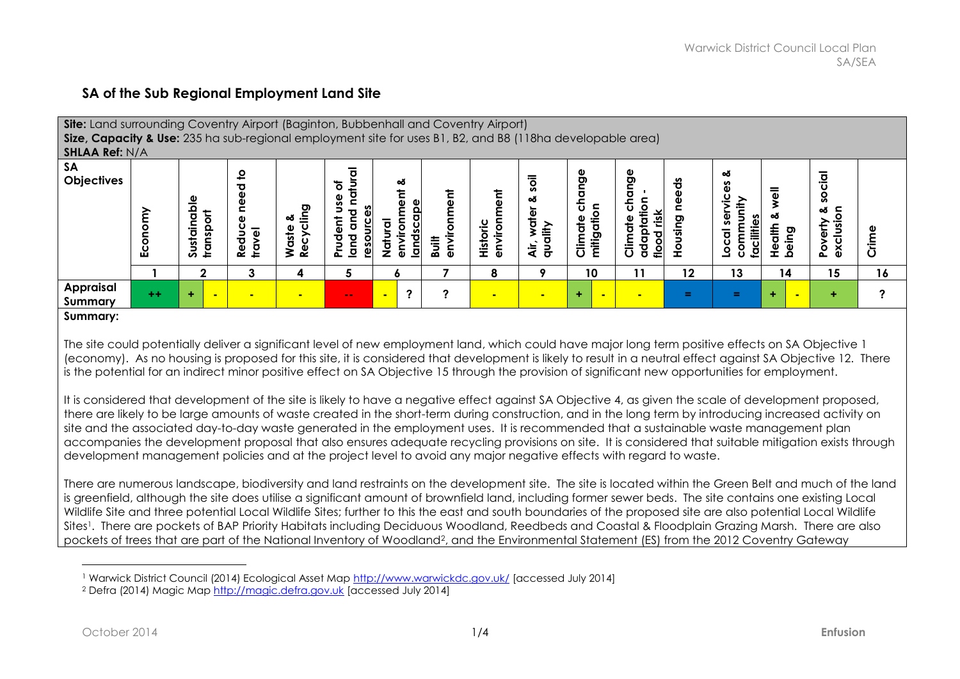## **SA of the Sub Regional Employment Land Site**

| <b>Site:</b> Land surrounding Coventry Airport (Baginton, Bubbenhall and Coventry Airport)<br>Size, Capacity & Use: 235 ha sub-regional employment site for uses B1, B2, and B8 (118ha developable area)<br><b>SHLAA Ref: N/A</b>                                                                                                                                                                                                                                                  |               |                                |                                                                         |                                  |                                                                     |                                                                 |                      |                            |                                     |                                |                                                                |                 |                                                             |                                                       |                                           |       |
|------------------------------------------------------------------------------------------------------------------------------------------------------------------------------------------------------------------------------------------------------------------------------------------------------------------------------------------------------------------------------------------------------------------------------------------------------------------------------------|---------------|--------------------------------|-------------------------------------------------------------------------|----------------------------------|---------------------------------------------------------------------|-----------------------------------------------------------------|----------------------|----------------------------|-------------------------------------|--------------------------------|----------------------------------------------------------------|-----------------|-------------------------------------------------------------|-------------------------------------------------------|-------------------------------------------|-------|
| <b>SA</b><br><b>Objectives</b>                                                                                                                                                                                                                                                                                                                                                                                                                                                     | onomy<br>ှုပ် | able<br>ㅎ<br>Sustain<br>transp | $\mathbf{S}$<br>need<br>ω<br>Reduc<br>travel<br>$\overline{\mathbf{v}}$ | ling<br>త<br>Recycl<br>aste<br>≳ | ठ<br>৳<br>₽<br>n<br>᠊ᠣ<br>$\epsilon$<br>dent<br>esourc<br>land<br>론 | య<br>έũ<br>environ<br>ਨੂ<br>natu<br>Not<br>᠊ᠣ<br>$\overline{5}$ | enviro<br>iii<br>Bat | ē۵<br>environm<br>Historic | Ξ<br>oð<br>water<br>quality<br>ÀÌr, | ğ<br>δ<br>Climate<br>mitigatio | Φ<br>ong<br>ᇰ<br>tation<br>ပ<br>flood risk<br>Climate<br>adapt | ಕೆ<br>sing<br>오 | య<br>nunit<br>ð<br><u>faciliti</u><br>comm<br>ਰ<br><u>ŏ</u> | ఱ<br>alth<br>being<br>$\frac{\mathsf{D}}{\mathsf{L}}$ | cial<br>ğ<br>δ<br>ఱ<br>Poverty<br>exclusi | Crime |
|                                                                                                                                                                                                                                                                                                                                                                                                                                                                                    |               | 2                              | 3                                                                       | 4                                | 5.                                                                  | O                                                               |                      | 8                          |                                     | 10                             | 11                                                             | $12 \,$         | 13                                                          | 14                                                    | 15                                        | 16    |
| <b>Appraisal</b><br>Summary                                                                                                                                                                                                                                                                                                                                                                                                                                                        | $++$          |                                |                                                                         |                                  | $\sim$ $\sim$                                                       | ?                                                               |                      |                            |                                     |                                |                                                                | ÷               | =                                                           | ÷                                                     | ÷                                         |       |
| Summary:<br>The site could potentially deliver a significant level of new employment land, which could have major long term positive effects on SA Objective 1<br>(economy). As no housing is proposed for this site, it is considered that development is likely to result in a neutral effect against SA Objective 12. There<br>is the potential for an indirect minor positive effect on SA Objective 15 through the provision of significant new opportunities for employment. |               |                                |                                                                         |                                  |                                                                     |                                                                 |                      |                            |                                     |                                |                                                                |                 |                                                             |                                                       |                                           |       |

It is considered that development of the site is likely to have a negative effect against SA Objective 4, as given the scale of development proposed, there are likely to be large amounts of waste created in the short-term during construction, and in the long term by introducing increased activity on site and the associated day-to-day waste generated in the employment uses. It is recommended that a sustainable waste management plan accompanies the development proposal that also ensures adequate recycling provisions on site. It is considered that suitable mitigation exists through development management policies and at the project level to avoid any major negative effects with regard to waste.

There are numerous landscape, biodiversity and land restraints on the development site. The site is located within the Green Belt and much of the land is greenfield, although the site does utilise a significant amount of brownfield land, including former sewer beds. The site contains one existing Local Wildlife Site and three potential Local Wildlife Sites; further to this the east and south boundaries of the proposed site are also potential Local Wildlife Sites<sup>1</sup>. There are pockets of BAP Priority Habitats including Deciduous Woodland, Reedbeds and Coastal & Floodplain Grazing Marsh. There are also pockets of trees that are part of the National Inventory of Woodland2, and the Environmental Statement (ES) from the 2012 Coventry Gateway

 $\overline{a}$ 1 Warwick District Council (2014) Ecological Asset Map<http://www.warwickdc.gov.uk/> [accessed July 2014]

<sup>2</sup> Defra (2014) Magic Map [http://magic.defra.gov.uk](http://magic.defra.gov.uk/) [accessed July 2014]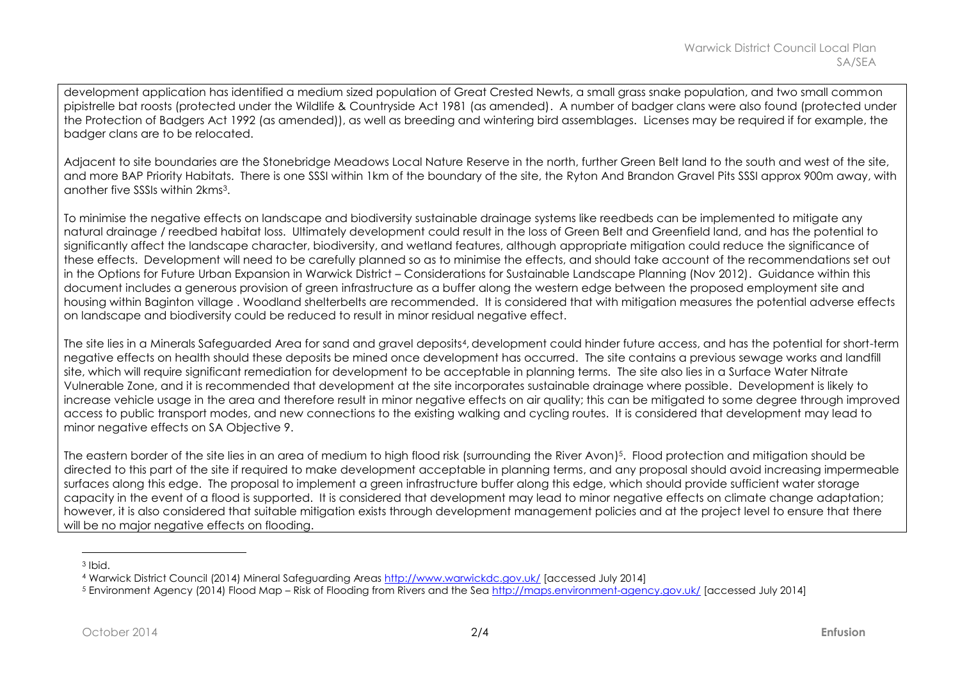development application has identified a medium sized population of Great Crested Newts, a small grass snake population, and two small common pipistrelle bat roosts (protected under the Wildlife & Countryside Act 1981 (as amended). A number of badger clans were also found (protected under the Protection of Badgers Act 1992 (as amended)), as well as breeding and wintering bird assemblages. Licenses may be required if for example, the badger clans are to be relocated.

Adiacent to site boundaries are the Stonebridge Meadows Local Nature Reserve in the north, further Green Belt land to the south and west of the site, and more BAP Priority Habitats. There is one SSSI within 1km of the boundary of the site, the Ryton And Brandon Gravel Pits SSSI approx 900m away, with another five SSSIs within 2kms3.

To minimise the negative effects on landscape and biodiversity sustainable drainage systems like reedbeds can be implemented to mitigate any natural drainage / reedbed habitat loss. Ultimately development could result in the loss of Green Belt and Greenfield land, and has the potential to significantly affect the landscape character, biodiversity, and wetland features, although appropriate mitigation could reduce the significance of these effects. Development will need to be carefully planned so as to minimise the effects, and should take account of the recommendations set out in the Options for Future Urban Expansion in Warwick District – Considerations for Sustainable Landscape Planning (Nov 2012). Guidance within this document includes a generous provision of green infrastructure as a buffer along the western edge between the proposed employment site and housing within Baginton village . Woodland shelterbelts are recommended. It is considered that with mitigation measures the potential adverse effects on landscape and biodiversity could be reduced to result in minor residual negative effect.

The site lies in a Minerals Safeguarded Area for sand and gravel deposits4, development could hinder future access, and has the potential for short-term negative effects on health should these deposits be mined once development has occurred. The site contains a previous sewage works and landfill site, which will require significant remediation for development to be acceptable in planning terms. The site also lies in a Surface Water Nitrate Vulnerable Zone, and it is recommended that development at the site incorporates sustainable drainage where possible. Development is likely to increase vehicle usage in the area and therefore result in minor negative effects on air quality; this can be mitigated to some degree through improved access to public transport modes, and new connections to the existing walking and cycling routes. It is considered that development may lead to minor negative effects on SA Objective 9.

The eastern border of the site lies in an area of medium to high flood risk (surrounding the River Avon) <sup>5</sup>. Flood protection and mitigation should be directed to this part of the site if required to make development acceptable in planning terms, and any proposal should avoid increasing impermeable surfaces along this edge. The proposal to implement a green infrastructure buffer along this edge, which should provide sufficient water storage capacity in the event of a flood is supported. It is considered that development may lead to minor negative effects on climate change adaptation; however, it is also considered that suitable mitigation exists through development management policies and at the project level to ensure that there will be no major negative effects on flooding.

 $\overline{a}$ 

<sup>3</sup> Ibid.

<sup>4</sup> Warwick District Council (2014) Mineral Safeguarding Areas<http://www.warwickdc.gov.uk/> [accessed July 2014]

<sup>5</sup> Environment Agency (2014) Flood Map – Risk of Flooding from Rivers and the Se[a http://maps.environment-agency.gov.uk/](http://maps.environment-agency.gov.uk/) [accessed July 2014]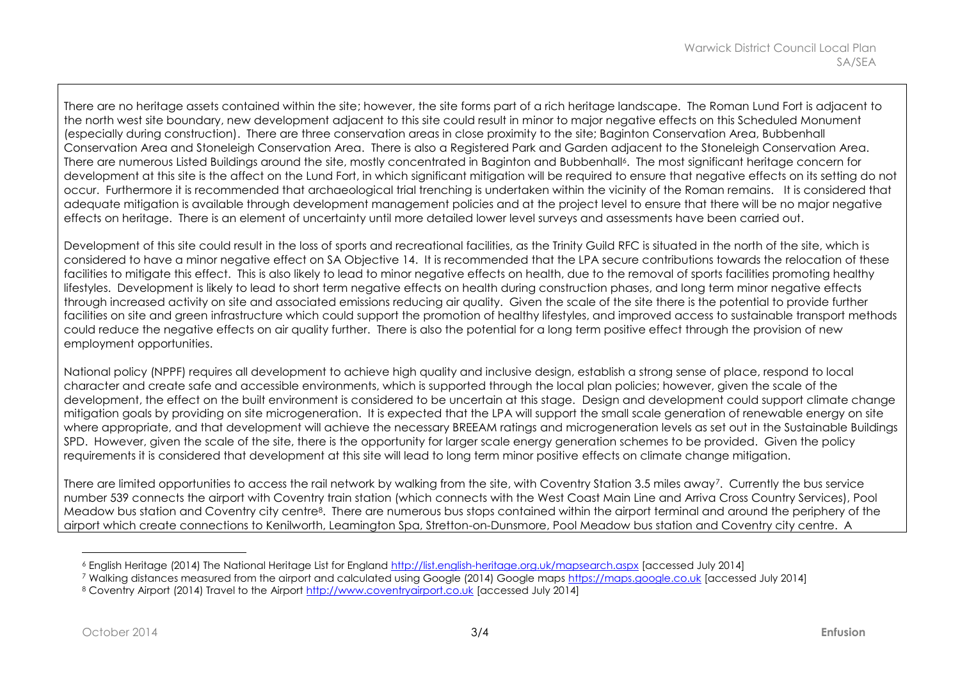There are no heritage assets contained within the site; however, the site forms part of a rich heritage landscape. The Roman Lund Fort is adjacent to the north west site boundary, new development adjacent to this site could result in minor to major negative effects on this Scheduled Monument (especially during construction). There are three conservation areas in close proximity to the site; Baginton Conservation Area, Bubbenhall Conservation Area and Stoneleigh Conservation Area. There is also a Registered Park and Garden adjacent to the Stoneleigh Conservation Area. There are numerous Listed Buildings around the site, mostly concentrated in Baginton and Bubbenhall<sup>6</sup>. The most significant heritage concern for development at this site is the affect on the Lund Fort, in which significant mitigation will be required to ensure that negative effects on its setting do not occur. Furthermore it is recommended that archaeological trial trenching is undertaken within the vicinity of the Roman remains. It is considered that adequate mitigation is available through development management policies and at the project level to ensure that there will be no major negative effects on heritage. There is an element of uncertainty until more detailed lower level surveys and assessments have been carried out.

Development of this site could result in the loss of sports and recreational facilities, as the Trinity Guild RFC is situated in the north of the site, which is considered to have a minor negative effect on SA Objective 14. It is recommended that the LPA secure contributions towards the relocation of these facilities to mitigate this effect. This is also likely to lead to minor negative effects on health, due to the removal of sports facilities promoting healthy lifestyles. Development is likely to lead to short term negative effects on health during construction phases, and long term minor negative effects through increased activity on site and associated emissions reducing air quality. Given the scale of the site there is the potential to provide further facilities on site and green infrastructure which could support the promotion of healthy lifestyles, and improved access to sustainable transport methods could reduce the negative effects on air quality further. There is also the potential for a long term positive effect through the provision of new employment opportunities.

National policy (NPPF) requires all development to achieve high quality and inclusive design, establish a strong sense of place, respond to local character and create safe and accessible environments, which is supported through the local plan policies; however, given the scale of the development, the effect on the built environment is considered to be uncertain at this stage. Design and development could support climate change mitigation goals by providing on site microgeneration. It is expected that the LPA will support the small scale generation of renewable energy on site where appropriate, and that development will achieve the necessary BREEAM ratings and microgeneration levels as set out in the Sustainable Buildings SPD. However, given the scale of the site, there is the opportunity for larger scale energy generation schemes to be provided. Given the policy requirements it is considered that development at this site will lead to long term minor positive effects on climate change mitigation.

There are limited opportunities to access the rail network by walking from the site, with Coventry Station 3.5 miles away<sup>7</sup>. Currently the bus service number 539 connects the airport with Coventry train station (which connects with the West Coast Main Line and Arriva Cross Country Services), Pool Meadow bus station and Coventry city centre8. There are numerous bus stops contained within the airport terminal and around the periphery of the airport which create connections to Kenilworth, Leamington Spa, Stretton-on-Dunsmore, Pool Meadow bus station and Coventry city centre. A

 $\overline{a}$ 

<sup>6</sup> English Heritage (2014) The National Heritage List for England<http://list.english-heritage.org.uk/mapsearch.aspx> [accessed July 2014]

<sup>7</sup> Walking distances measured from the airport and calculated using Google (2014) Google maps [https://maps.google.co.uk](https://maps.google.co.uk/) [accessed July 2014]

<sup>8</sup> Coventry Airport (2014) Travel to the Airport [http://www.coventryairport.co.uk](http://www.coventryairport.co.uk/) [accessed July 2014]